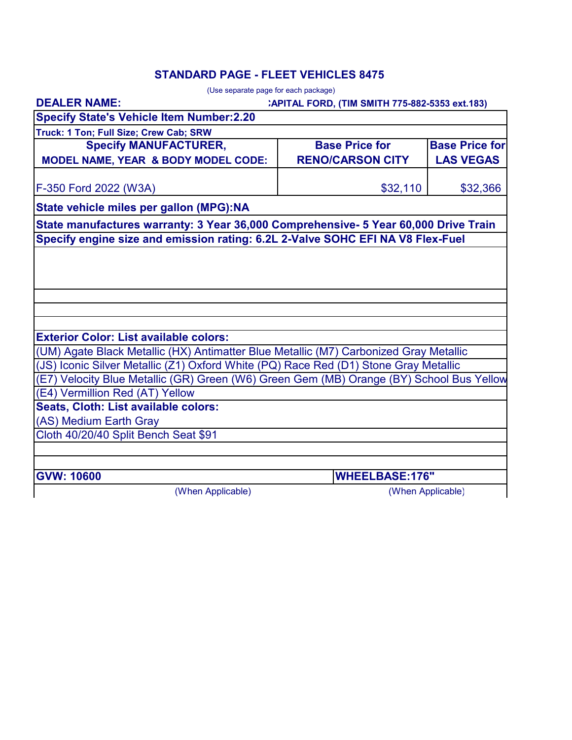# **STANDARD PAGE - FLEET VEHICLES 8475**

| (Use separate page for each package)                                                                                        |                                                 |                       |  |
|-----------------------------------------------------------------------------------------------------------------------------|-------------------------------------------------|-----------------------|--|
| <b>DEALER NAME:</b>                                                                                                         | : APITAL FORD, (TIM SMITH 775-882-5353 ext.183) |                       |  |
| <b>Specify State's Vehicle Item Number:2.20</b>                                                                             |                                                 |                       |  |
| Truck: 1 Ton; Full Size; Crew Cab; SRW                                                                                      |                                                 |                       |  |
| <b>Specify MANUFACTURER,</b>                                                                                                | <b>Base Price for</b>                           | <b>Base Price for</b> |  |
| MODEL NAME, YEAR & BODY MODEL CODE:                                                                                         | <b>RENO/CARSON CITY</b>                         | <b>LAS VEGAS</b>      |  |
| F-350 Ford 2022 (W3A)                                                                                                       | \$32,110                                        | \$32,366              |  |
| State vehicle miles per gallon (MPG):NA                                                                                     |                                                 |                       |  |
| State manufactures warranty: 3 Year 36,000 Comprehensive- 5 Year 60,000 Drive Train                                         |                                                 |                       |  |
| Specify engine size and emission rating: 6.2L 2-Valve SOHC EFI NA V8 Flex-Fuel                                              |                                                 |                       |  |
|                                                                                                                             |                                                 |                       |  |
|                                                                                                                             |                                                 |                       |  |
|                                                                                                                             |                                                 |                       |  |
|                                                                                                                             |                                                 |                       |  |
|                                                                                                                             |                                                 |                       |  |
|                                                                                                                             |                                                 |                       |  |
| <b>Exterior Color: List available colors:</b>                                                                               |                                                 |                       |  |
| (UM) Agate Black Metallic (HX) Antimatter Blue Metallic (M7) Carbonized Gray Metallic                                       |                                                 |                       |  |
| (JS) Iconic Silver Metallic (Z1) Oxford White (PQ) Race Red (D1) Stone Gray Metallic                                        |                                                 |                       |  |
| (E7) Velocity Blue Metallic (GR) Green (W6) Green Gem (MB) Orange (BY) School Bus Yellow<br>(E4) Vermillion Red (AT) Yellow |                                                 |                       |  |
| Seats, Cloth: List available colors:                                                                                        |                                                 |                       |  |
| (AS) Medium Earth Gray                                                                                                      |                                                 |                       |  |
| Cloth 40/20/40 Split Bench Seat \$91                                                                                        |                                                 |                       |  |
|                                                                                                                             |                                                 |                       |  |
|                                                                                                                             |                                                 |                       |  |
| <b>GVW: 10600</b>                                                                                                           |                                                 | <b>WHEELBASE:176"</b> |  |
| (When Applicable)                                                                                                           |                                                 | (When Applicable)     |  |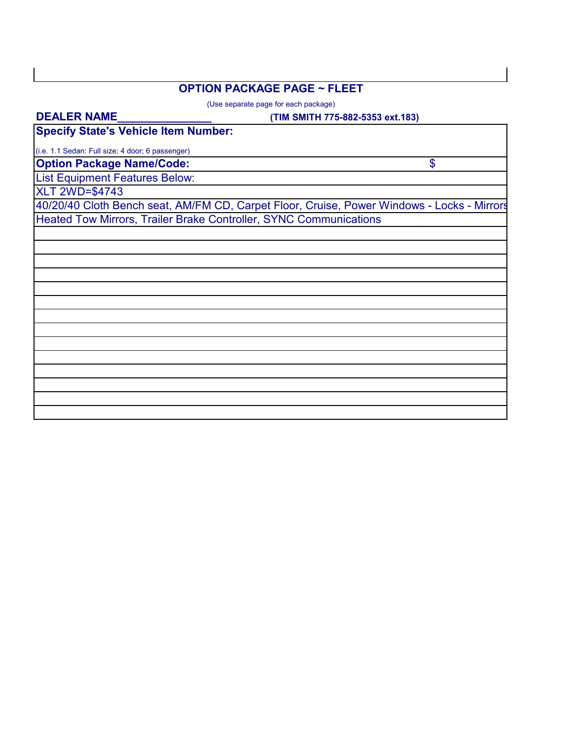### **OPTION PACKAGE PAGE ~ FLEET**

(Use separate page for each package)

#### **DEALER NAME\_\_\_\_\_\_\_\_\_\_\_\_\_\_\_**

### **(TIM SMITH 775-882-5353 ext.183)**

**Specify State's Vehicle Item Number:**

**Option Package Name/Code:** (i.e. 1.1 Sedan: Full size; 4 door; 6 passenger)

\$

List Equipment Features Below:

XLT 2WD=\$4743

40/20/40 Cloth Bench seat, AM/FM CD, Carpet Floor, Cruise, Power Windows - Locks - Mirrors Heated Tow Mirrors, Trailer Brake Controller, SYNC Communications